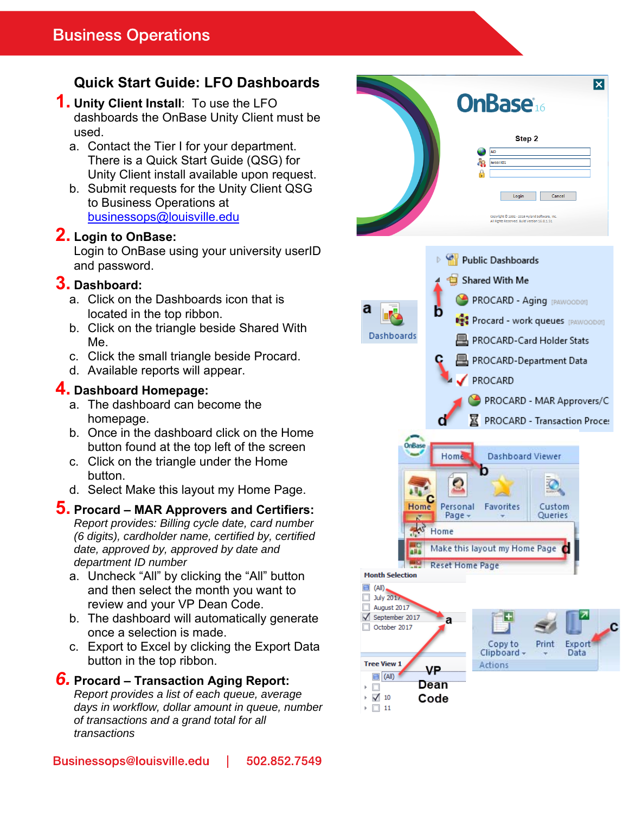# **Quick Start Guide: LFO Dashboards**

#### **1. Unity Client Install**: To use the LFO dashboards the OnBase Unity Client must be used.

- a. Contact the Tier I for your department. There is a Quick Start Guide (QSG) for Unity Client install available upon request.
- b. Submit requests for the Unity Client QSG to Business Operations at businessops@louisville.edu

## **2. Login to OnBase:**

Login to OnBase using your university userID and password.

## **3. Dashboard:**

- a. Click on the Dashboards icon that is located in the top ribbon.
- b. Click on the triangle beside Shared With Me.
- c. Click the small triangle beside Procard.
- d. Available reports will appear.

## **4. Dashboard Homepage:**

- a. The dashboard can become the homepage.
- b. Once in the dashboard click on the Home button found at the top left of the screen
- c. Click on the triangle under the Home button.
- d. Select Make this layout my Home Page.

### **5. Procard – MAR Approvers and Certifiers:**

*Report provides: Billing cycle date, card number (6 digits), cardholder name, certified by, certified date, approved by, approved by date and department ID number* 

- a. Uncheck "All" by clicking the "All" button and then select the month you want to review and your VP Dean Code.
- b. The dashboard will automatically generate once a selection is made.
- c. Export to Excel by clicking the Export Data button in the top ribbon.

## *6.* **Procard – Transaction Aging Report:**

*Report provides a list of each queue, average days in workflow, dollar amount in queue, number of transactions and a grand total for all transactions* 



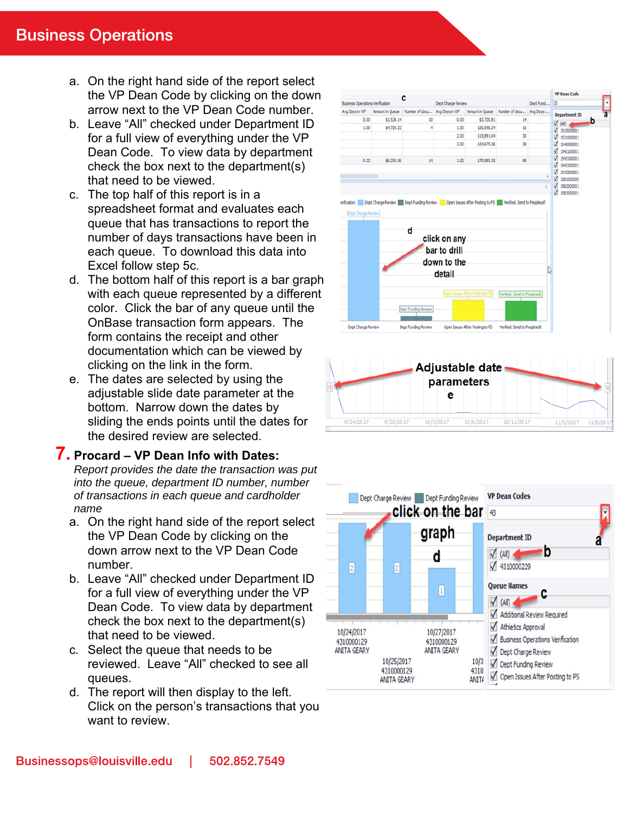- a. On the right hand side of the report select the VP Dean Code by clicking on the down arrow next to the VP Dean Code number.
- b. Leave "All" checked under Department ID for a full view of everything under the VP Dean Code. To view data by department check the box next to the department(s) that need to be viewed.
- c. The top half of this report is in a spreadsheet format and evaluates each queue that has transactions to report the number of days transactions have been in each queue. To download this data into Excel follow step 5c.
- d. The bottom half of this report is a bar graph with each queue represented by a different color. Click the bar of any queue until the OnBase transaction form appears. The form contains the receipt and other documentation which can be viewed by clicking on the link in the form.
- e. The dates are selected by using the adjustable slide date parameter at the bottom. Narrow down the dates by sliding the ends points until the dates for the desired review are selected.

### **7. Procard – VP Dean Info with Dates:**

*Report provides the date the transaction was put into the queue, department ID number, number of transactions in each queue and cardholder name* 

- a. On the right hand side of the report select the VP Dean Code by clicking on the down arrow next to the VP Dean Code number.
- b. Leave "All" checked under Department ID for a full view of everything under the VP Dean Code. To view data by department check the box next to the department(s) that need to be viewed.
- c. Select the queue that needs to be reviewed. Leave "All" checked to see all queues.
- d. The report will then display to the left. Click on the person's transactions that you want to review.



10/6/2017

10/3/2017

9/24/2017

9/29/2017

10/11/2017

11/5/2017

 $11/8/$